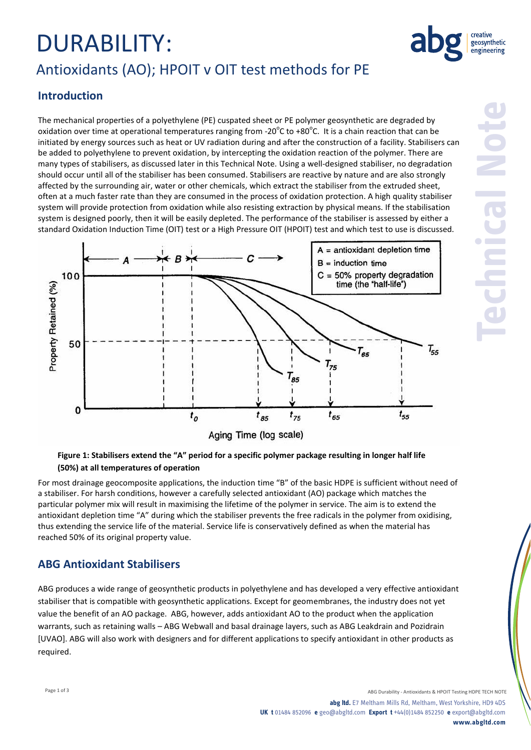# DURABILITY: Antioxidants (AO); HPOIT v OIT test methods for PE



### **Introduction**

The mechanical properties of a polyethylene (PE) cuspated sheet or PE polymer geosynthetic are degraded by oxidation over time at operational temperatures ranging from -20 $^{\circ}$ C to +80 $^{\circ}$ C. It is a chain reaction that can be initiated by energy sources such as heat or UV radiation during and after the construction of a facility. Stabilisers can be added to polyethylene to prevent oxidation, by intercepting the oxidation reaction of the polymer. There are many types of stabilisers, as discussed later in this Technical Note. Using a well-designed stabiliser, no degradation should occur until all of the stabiliser has been consumed. Stabilisers are reactive by nature and are also strongly affected by the surrounding air, water or other chemicals, which extract the stabiliser from the extruded sheet, often at a much faster rate than they are consumed in the process of oxidation protection. A high quality stabiliser system will provide protection from oxidation while also resisting extraction by physical means. If the stabilisation system is designed poorly, then it will be easily depleted. The performance of the stabiliser is assessed by either a standard Oxidation Induction Time (OIT) test or a High Pressure OIT (HPOIT) test and which test to use is discussed.



#### **Figure 1: Stabilisers extend the "A" period for a specific polymer package resulting in longer half life (50%) at all temperatures of operation**

For most drainage geocomposite applications, the induction time "B" of the basic HDPE is sufficient without need of a stabiliser. For harsh conditions, however a carefully selected antioxidant (AO) package which matches the particular polymer mix will result in maximising the lifetime of the polymer in service. The aim is to extend the antioxidant depletion time "A" during which the stabiliser prevents the free radicals in the polymer from oxidising, thus extending the service life of the material. Service life is conservatively defined as when the material has reached 50% of its original property value.

### **ABG Antioxidant Stabilisers**

ABG produces a wide range of geosynthetic products in polyethylene and has developed a very effective antioxidant stabiliser that is compatible with geosynthetic applications. Except for geomembranes, the industry does not yet value the benefit of an AO package. ABG, however, adds antioxidant AO to the product when the application warrants, such as retaining walls – ABG Webwall and basal drainage layers, such as ABG Leakdrain and Pozidrain [UVAO]. ABG will also work with designers and for different applications to specify antioxidant in other products as required.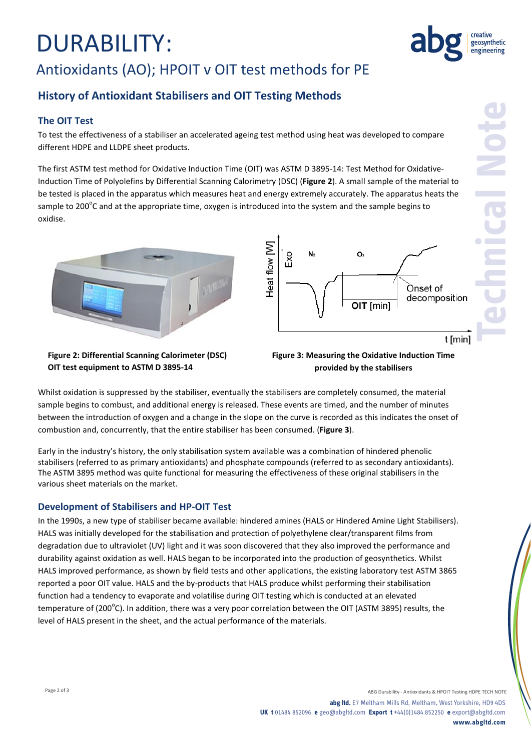# DURABILITY:

# Antioxidants (AO); HPOIT v OIT test methods for PE

## **History of Antioxidant Stabilisers and OIT Testing Methods**

#### **The OIT Test**

To test the effectiveness of a stabiliser an accelerated ageing test method using heat was developed to compare different HDPE and LLDPE sheet products.

The first ASTM test method for Oxidative Induction Time (OIT) was ASTM D 3895-14: Test Method for Oxidative-Induction Time of Polyolefins by Differential Scanning Calorimetry (DSC) (**Figure 2**). A small sample of the material to be tested is placed in the apparatus which measures heat and energy extremely accurately. The apparatus heats the sample to 200 $^{\circ}$ C and at the appropriate time, oxygen is introduced into the system and the sample begins to oxidise.





**Technical Note**

geosynthetic engineering

**Figure 2: Differential Scanning Calorimeter (DSC) OIT test equipment to ASTM D 3895-14**

**Figure 3: Measuring the Oxidative Induction Time provided by the stabilisers**

Whilst oxidation is suppressed by the stabiliser, eventually the stabilisers are completely consumed, the material sample begins to combust, and additional energy is released. These events are timed, and the number of minutes between the introduction of oxygen and a change in the slope on the curve is recorded as this indicates the onset of combustion and, concurrently, that the entire stabiliser has been consumed. (**Figure 3**).

Early in the industry's history, the only stabilisation system available was a combination of hindered phenolic stabilisers (referred to as primary antioxidants) and phosphate compounds (referred to as secondary antioxidants). The ASTM 3895 method was quite functional for measuring the effectiveness of these original stabilisers in the various sheet materials on the market.

#### **Development of Stabilisers and HP-OIT Test**

In the 1990s, a new type of stabiliser became available: hindered amines (HALS or Hindered Amine Light Stabilisers). HALS was initially developed for the stabilisation and protection of polyethylene clear/transparent films from degradation due to ultraviolet (UV) light and it was soon discovered that they also improved the performance and durability against oxidation as well. HALS began to be incorporated into the production of geosynthetics. Whilst HALS improved performance, as shown by field tests and other applications, the existing laboratory test ASTM 3865 reported a poor OIT value. HALS and the by-products that HALS produce whilst performing their stabilisation function had a tendency to evaporate and volatilise during OIT testing which is conducted at an elevated temperature of (200<sup>o</sup>C). In addition, there was a very poor correlation between the OIT (ASTM 3895) results, the level of HALS present in the sheet, and the actual performance of the materials.